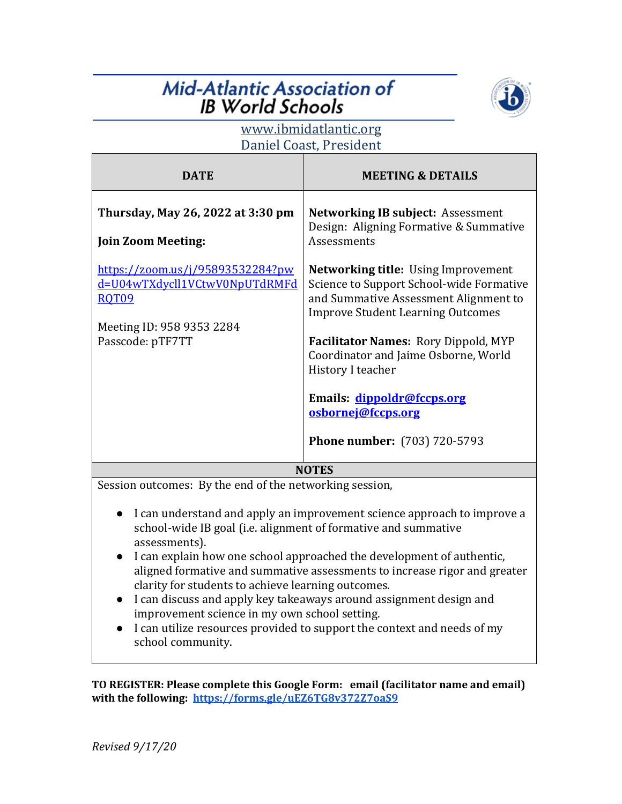## **Mid-Atlantic Association of IB World Schools**



## www.ibmidatlantic.org Daniel Coast, President

| <b>DATE</b>                                                                                                                        | <b>MEETING &amp; DETAILS</b>                                                                                                                                                                                                                                                                                                                                                       |
|------------------------------------------------------------------------------------------------------------------------------------|------------------------------------------------------------------------------------------------------------------------------------------------------------------------------------------------------------------------------------------------------------------------------------------------------------------------------------------------------------------------------------|
| Thursday, May 26, 2022 at 3:30 pm<br><b>Join Zoom Meeting:</b>                                                                     | <b>Networking IB subject: Assessment</b><br>Design: Aligning Formative & Summative<br><b>Assessments</b>                                                                                                                                                                                                                                                                           |
| https://zoom.us/j/95893532284?pw<br>d=U04wTXdycll1VCtwV0NpUTdRMFd<br><b>ROT09</b><br>Meeting ID: 958 9353 2284<br>Passcode: pTF7TT | <b>Networking title:</b> Using Improvement<br>Science to Support School-wide Formative<br>and Summative Assessment Alignment to<br><b>Improve Student Learning Outcomes</b><br><b>Facilitator Names: Rory Dippold, MYP</b><br>Coordinator and Jaime Osborne, World<br>History I teacher<br>Emails: dippoldr@fccps.org<br>osbornej@fccps.org<br><b>Phone number:</b> (703) 720-5793 |
| <b>NOTES</b>                                                                                                                       |                                                                                                                                                                                                                                                                                                                                                                                    |
| Session outcomes: By the end of the networking session,                                                                            |                                                                                                                                                                                                                                                                                                                                                                                    |

- I can understand and apply an improvement science approach to improve a school-wide IB goal (i.e. alignment of formative and summative assessments).
- I can explain how one school approached the development of authentic, aligned formative and summative assessments to increase rigor and greater clarity for students to achieve learning outcomes.
- I can discuss and apply key takeaways around assignment design and improvement science in my own school setting.
- I can utilize resources provided to support the context and needs of my school community.

TO REGISTER: Please complete this Google Form: email (facilitator name and email) with the following: https://forms.gle/uEZ6TG8v372Z7oaS9